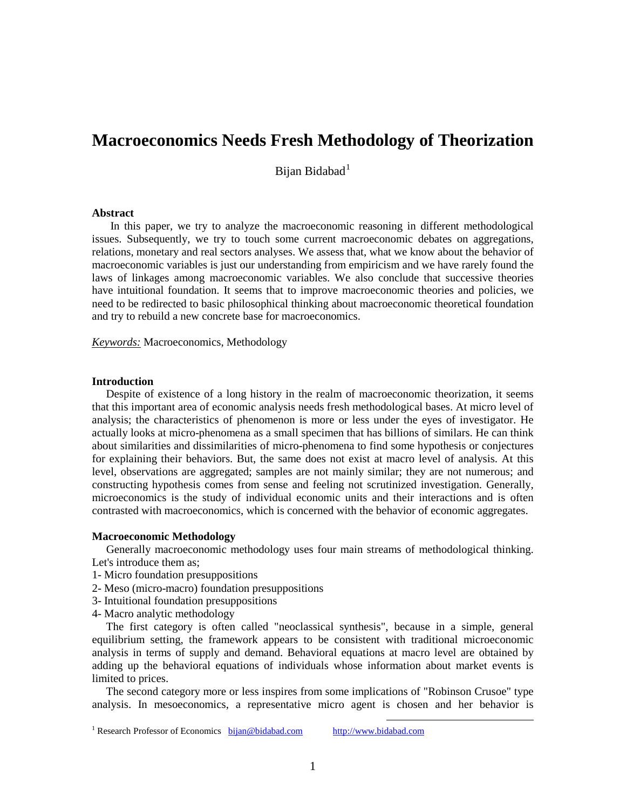# **Macroeconomics Needs Fresh Methodology of Theorization**

Bijan Bidabad $<sup>1</sup>$  $<sup>1</sup>$  $<sup>1</sup>$ </sup>

## **Abstract**

In this paper, we try to analyze the macroeconomic reasoning in different methodological issues. Subsequently, we try to touch some current macroeconomic debates on aggregations, relations, monetary and real sectors analyses. We assess that, what we know about the behavior of macroeconomic variables is just our understanding from empiricism and we have rarely found the laws of linkages among macroeconomic variables. We also conclude that successive theories have intuitional foundation. It seems that to improve macroeconomic theories and policies, we need to be redirected to basic philosophical thinking about macroeconomic theoretical foundation and try to rebuild a new concrete base for macroeconomics.

*Keywords:* Macroeconomics, Methodology

## **Introduction**

 Despite of existence of a long history in the realm of macroeconomic theorization, it seems that this important area of economic analysis needs fresh methodological bases. At micro level of analysis; the characteristics of phenomenon is more or less under the eyes of investigator. He actually looks at micro-phenomena as a small specimen that has billions of similars. He can think about similarities and dissimilarities of micro-phenomena to find some hypothesis or conjectures for explaining their behaviors. But, the same does not exist at macro level of analysis. At this level, observations are aggregated; samples are not mainly similar; they are not numerous; and constructing hypothesis comes from sense and feeling not scrutinized investigation. Generally, microeconomics is the study of individual economic units and their interactions and is often contrasted with macroeconomics, which is concerned with the behavior of economic aggregates.

## **Macroeconomic Methodology**

 Generally macroeconomic methodology uses four main streams of methodological thinking. Let's introduce them as;

- 1- Micro foundation presuppositions
- 2- Meso (micro-macro) foundation presuppositions
- 3- Intuitional foundation presuppositions
- 4- Macro analytic methodology

 The first category is often called "neoclassical synthesis", because in a simple, general equilibrium setting, the framework appears to be consistent with traditional microeconomic analysis in terms of supply and demand. Behavioral equations at macro level are obtained by adding up the behavioral equations of individuals whose information about market events is limited to prices.

<span id="page-0-0"></span> The second category more or less inspires from some implications of "Robinson Crusoe" type analysis. In mesoeconomics, a representative micro agent is chosen and her behavior is

 $\overline{a}$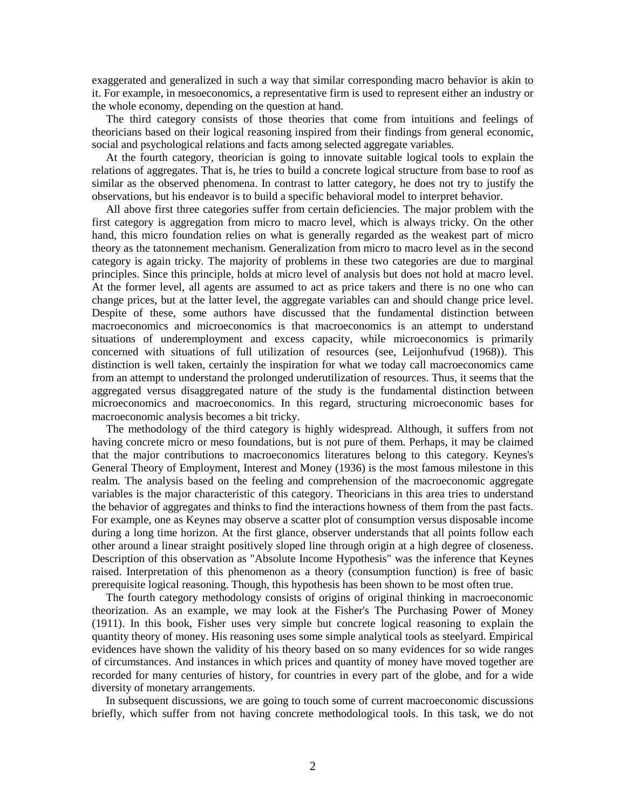exaggerated and generalized in such a way that similar corresponding macro behavior is akin to it. For example, in mesoeconomics, a representative firm is used to represent either an industry or the whole economy, depending on the question at hand.

 The third category consists of those theories that come from intuitions and feelings of theoricians based on their logical reasoning inspired from their findings from general economic, social and psychological relations and facts among selected aggregate variables.

 At the fourth category, theorician is going to innovate suitable logical tools to explain the relations of aggregates. That is, he tries to build a concrete logical structure from base to roof as similar as the observed phenomena. In contrast to latter category, he does not try to justify the observations, but his endeavor is to build a specific behavioral model to interpret behavior.

 All above first three categories suffer from certain deficiencies. The major problem with the first category is aggregation from micro to macro level, which is always tricky. On the other hand, this micro foundation relies on what is generally regarded as the weakest part of micro theory as the tatonnement mechanism. Generalization from micro to macro level as in the second category is again tricky. The majority of problems in these two categories are due to marginal principles. Since this principle, holds at micro level of analysis but does not hold at macro level. At the former level, all agents are assumed to act as price takers and there is no one who can change prices, but at the latter level, the aggregate variables can and should change price level. Despite of these, some authors have discussed that the fundamental distinction between macroeconomics and microeconomics is that macroeconomics is an attempt to understand situations of underemployment and excess capacity, while microeconomics is primarily concerned with situations of full utilization of resources (see, Leijonhufvud (1968)). This distinction is well taken, certainly the inspiration for what we today call macroeconomics came from an attempt to understand the prolonged underutilization of resources. Thus, it seems that the aggregated versus disaggregated nature of the study is the fundamental distinction between microeconomics and macroeconomics. In this regard, structuring microeconomic bases for macroeconomic analysis becomes a bit tricky.

 The methodology of the third category is highly widespread. Although, it suffers from not having concrete micro or meso foundations, but is not pure of them. Perhaps, it may be claimed that the major contributions to macroeconomics literatures belong to this category. Keynes's General Theory of Employment, Interest and Money (1936) is the most famous milestone in this realm. The analysis based on the feeling and comprehension of the macroeconomic aggregate variables is the major characteristic of this category. Theoricians in this area tries to understand the behavior of aggregates and thinks to find the interactions howness of them from the past facts. For example, one as Keynes may observe a scatter plot of consumption versus disposable income during a long time horizon. At the first glance, observer understands that all points follow each other around a linear straight positively sloped line through origin at a high degree of closeness. Description of this observation as "Absolute Income Hypothesis" was the inference that Keynes raised. Interpretation of this phenomenon as a theory (consumption function) is free of basic prerequisite logical reasoning. Though, this hypothesis has been shown to be most often true.

 The fourth category methodology consists of origins of original thinking in macroeconomic theorization. As an example, we may look at the Fisher's The Purchasing Power of Money (1911). In this book, Fisher uses very simple but concrete logical reasoning to explain the quantity theory of money. His reasoning uses some simple analytical tools as steelyard. Empirical evidences have shown the validity of his theory based on so many evidences for so wide ranges of circumstances. And instances in which prices and quantity of money have moved together are recorded for many centuries of history, for countries in every part of the globe, and for a wide diversity of monetary arrangements.

 In subsequent discussions, we are going to touch some of current macroeconomic discussions briefly, which suffer from not having concrete methodological tools. In this task, we do not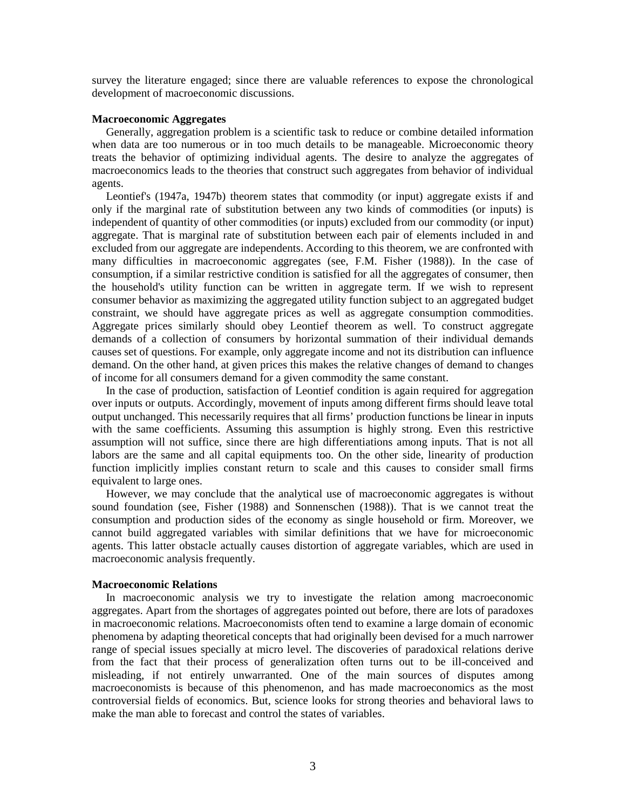survey the literature engaged; since there are valuable references to expose the chronological development of macroeconomic discussions.

## **Macroeconomic Aggregates**

 Generally, aggregation problem is a scientific task to reduce or combine detailed information when data are too numerous or in too much details to be manageable. Microeconomic theory treats the behavior of optimizing individual agents. The desire to analyze the aggregates of macroeconomics leads to the theories that construct such aggregates from behavior of individual agents.

 Leontief's (1947a, 1947b) theorem states that commodity (or input) aggregate exists if and only if the marginal rate of substitution between any two kinds of commodities (or inputs) is independent of quantity of other commodities (or inputs) excluded from our commodity (or input) aggregate. That is marginal rate of substitution between each pair of elements included in and excluded from our aggregate are independents. According to this theorem, we are confronted with many difficulties in macroeconomic aggregates (see, F.M. Fisher (1988)). In the case of consumption, if a similar restrictive condition is satisfied for all the aggregates of consumer, then the household's utility function can be written in aggregate term. If we wish to represent consumer behavior as maximizing the aggregated utility function subject to an aggregated budget constraint, we should have aggregate prices as well as aggregate consumption commodities. Aggregate prices similarly should obey Leontief theorem as well. To construct aggregate demands of a collection of consumers by horizontal summation of their individual demands causes set of questions. For example, only aggregate income and not its distribution can influence demand. On the other hand, at given prices this makes the relative changes of demand to changes of income for all consumers demand for a given commodity the same constant.

 In the case of production, satisfaction of Leontief condition is again required for aggregation over inputs or outputs. Accordingly, movement of inputs among different firms should leave total output unchanged. This necessarily requires that all firms' production functions be linear in inputs with the same coefficients. Assuming this assumption is highly strong. Even this restrictive assumption will not suffice, since there are high differentiations among inputs. That is not all labors are the same and all capital equipments too. On the other side, linearity of production function implicitly implies constant return to scale and this causes to consider small firms equivalent to large ones.

 However, we may conclude that the analytical use of macroeconomic aggregates is without sound foundation (see, Fisher (1988) and Sonnenschen (1988)). That is we cannot treat the consumption and production sides of the economy as single household or firm. Moreover, we cannot build aggregated variables with similar definitions that we have for microeconomic agents. This latter obstacle actually causes distortion of aggregate variables, which are used in macroeconomic analysis frequently.

## **Macroeconomic Relations**

 In macroeconomic analysis we try to investigate the relation among macroeconomic aggregates. Apart from the shortages of aggregates pointed out before, there are lots of paradoxes in macroeconomic relations. Macroeconomists often tend to examine a large domain of economic phenomena by adapting theoretical concepts that had originally been devised for a much narrower range of special issues specially at micro level. The discoveries of paradoxical relations derive from the fact that their process of generalization often turns out to be ill-conceived and misleading, if not entirely unwarranted. One of the main sources of disputes among macroeconomists is because of this phenomenon, and has made macroeconomics as the most controversial fields of economics. But, science looks for strong theories and behavioral laws to make the man able to forecast and control the states of variables.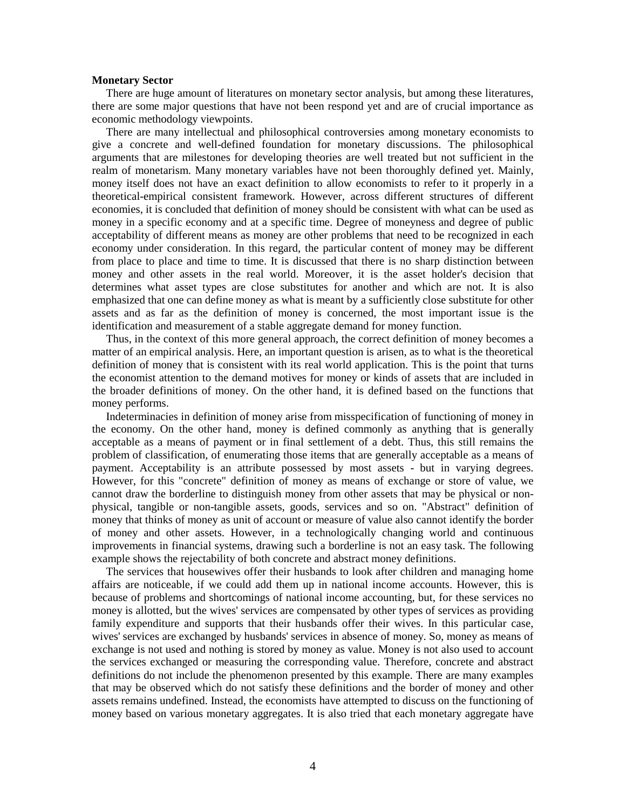## **Monetary Sector**

 There are huge amount of literatures on monetary sector analysis, but among these literatures, there are some major questions that have not been respond yet and are of crucial importance as economic methodology viewpoints.

 There are many intellectual and philosophical controversies among monetary economists to give a concrete and well-defined foundation for monetary discussions. The philosophical arguments that are milestones for developing theories are well treated but not sufficient in the realm of monetarism. Many monetary variables have not been thoroughly defined yet. Mainly, money itself does not have an exact definition to allow economists to refer to it properly in a theoretical-empirical consistent framework. However, across different structures of different economies, it is concluded that definition of money should be consistent with what can be used as money in a specific economy and at a specific time. Degree of moneyness and degree of public acceptability of different means as money are other problems that need to be recognized in each economy under consideration. In this regard, the particular content of money may be different from place to place and time to time. It is discussed that there is no sharp distinction between money and other assets in the real world. Moreover, it is the asset holder's decision that determines what asset types are close substitutes for another and which are not. It is also emphasized that one can define money as what is meant by a sufficiently close substitute for other assets and as far as the definition of money is concerned, the most important issue is the identification and measurement of a stable aggregate demand for money function.

 Thus, in the context of this more general approach, the correct definition of money becomes a matter of an empirical analysis. Here, an important question is arisen, as to what is the theoretical definition of money that is consistent with its real world application. This is the point that turns the economist attention to the demand motives for money or kinds of assets that are included in the broader definitions of money. On the other hand, it is defined based on the functions that money performs.

 Indeterminacies in definition of money arise from misspecification of functioning of money in the economy. On the other hand, money is defined commonly as anything that is generally acceptable as a means of payment or in final settlement of a debt. Thus, this still remains the problem of classification, of enumerating those items that are generally acceptable as a means of payment. Acceptability is an attribute possessed by most assets - but in varying degrees. However, for this "concrete" definition of money as means of exchange or store of value, we cannot draw the borderline to distinguish money from other assets that may be physical or nonphysical, tangible or non-tangible assets, goods, services and so on. "Abstract" definition of money that thinks of money as unit of account or measure of value also cannot identify the border of money and other assets. However, in a technologically changing world and continuous improvements in financial systems, drawing such a borderline is not an easy task. The following example shows the rejectability of both concrete and abstract money definitions.

 The services that housewives offer their husbands to look after children and managing home affairs are noticeable, if we could add them up in national income accounts. However, this is because of problems and shortcomings of national income accounting, but, for these services no money is allotted, but the wives' services are compensated by other types of services as providing family expenditure and supports that their husbands offer their wives. In this particular case, wives' services are exchanged by husbands' services in absence of money. So, money as means of exchange is not used and nothing is stored by money as value. Money is not also used to account the services exchanged or measuring the corresponding value. Therefore, concrete and abstract definitions do not include the phenomenon presented by this example. There are many examples that may be observed which do not satisfy these definitions and the border of money and other assets remains undefined. Instead, the economists have attempted to discuss on the functioning of money based on various monetary aggregates. It is also tried that each monetary aggregate have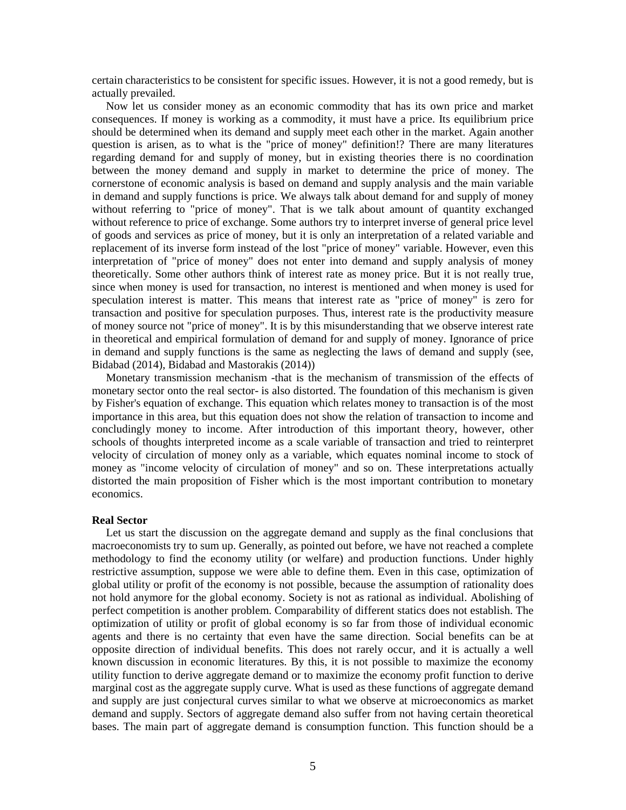certain characteristics to be consistent for specific issues. However, it is not a good remedy, but is actually prevailed.

 Now let us consider money as an economic commodity that has its own price and market consequences. If money is working as a commodity, it must have a price. Its equilibrium price should be determined when its demand and supply meet each other in the market. Again another question is arisen, as to what is the "price of money" definition!? There are many literatures regarding demand for and supply of money, but in existing theories there is no coordination between the money demand and supply in market to determine the price of money. The cornerstone of economic analysis is based on demand and supply analysis and the main variable in demand and supply functions is price. We always talk about demand for and supply of money without referring to "price of money". That is we talk about amount of quantity exchanged without reference to price of exchange. Some authors try to interpret inverse of general price level of goods and services as price of money, but it is only an interpretation of a related variable and replacement of its inverse form instead of the lost "price of money" variable. However, even this interpretation of "price of money" does not enter into demand and supply analysis of money theoretically. Some other authors think of interest rate as money price. But it is not really true, since when money is used for transaction, no interest is mentioned and when money is used for speculation interest is matter. This means that interest rate as "price of money" is zero for transaction and positive for speculation purposes. Thus, interest rate is the productivity measure of money source not "price of money". It is by this misunderstanding that we observe interest rate in theoretical and empirical formulation of demand for and supply of money. Ignorance of price in demand and supply functions is the same as neglecting the laws of demand and supply (see, Bidabad (2014), Bidabad and Mastorakis (2014))

 Monetary transmission mechanism -that is the mechanism of transmission of the effects of monetary sector onto the real sector- is also distorted. The foundation of this mechanism is given by Fisher's equation of exchange. This equation which relates money to transaction is of the most importance in this area, but this equation does not show the relation of transaction to income and concludingly money to income. After introduction of this important theory, however, other schools of thoughts interpreted income as a scale variable of transaction and tried to reinterpret velocity of circulation of money only as a variable, which equates nominal income to stock of money as "income velocity of circulation of money" and so on. These interpretations actually distorted the main proposition of Fisher which is the most important contribution to monetary economics.

## **Real Sector**

 Let us start the discussion on the aggregate demand and supply as the final conclusions that macroeconomists try to sum up. Generally, as pointed out before, we have not reached a complete methodology to find the economy utility (or welfare) and production functions. Under highly restrictive assumption, suppose we were able to define them. Even in this case, optimization of global utility or profit of the economy is not possible, because the assumption of rationality does not hold anymore for the global economy. Society is not as rational as individual. Abolishing of perfect competition is another problem. Comparability of different statics does not establish. The optimization of utility or profit of global economy is so far from those of individual economic agents and there is no certainty that even have the same direction. Social benefits can be at opposite direction of individual benefits. This does not rarely occur, and it is actually a well known discussion in economic literatures. By this, it is not possible to maximize the economy utility function to derive aggregate demand or to maximize the economy profit function to derive marginal cost as the aggregate supply curve. What is used as these functions of aggregate demand and supply are just conjectural curves similar to what we observe at microeconomics as market demand and supply. Sectors of aggregate demand also suffer from not having certain theoretical bases. The main part of aggregate demand is consumption function. This function should be a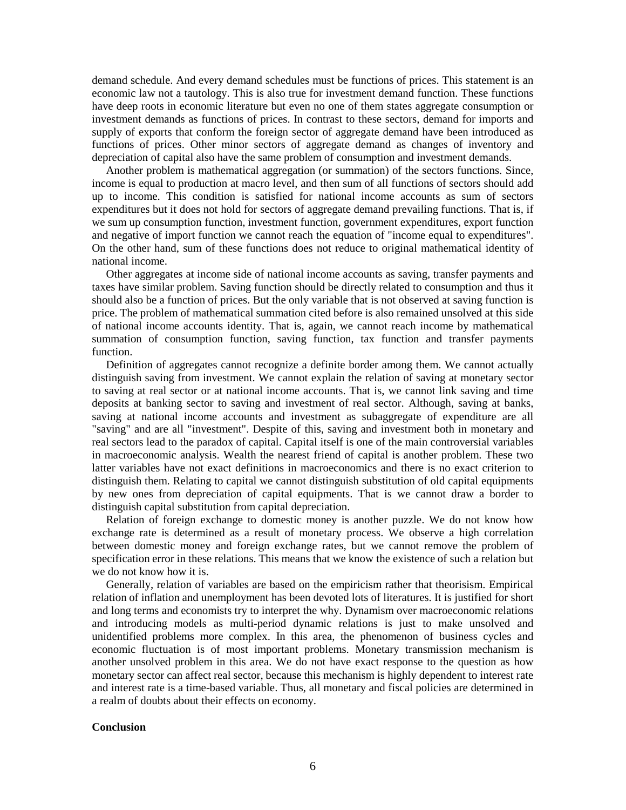demand schedule. And every demand schedules must be functions of prices. This statement is an economic law not a tautology. This is also true for investment demand function. These functions have deep roots in economic literature but even no one of them states aggregate consumption or investment demands as functions of prices. In contrast to these sectors, demand for imports and supply of exports that conform the foreign sector of aggregate demand have been introduced as functions of prices. Other minor sectors of aggregate demand as changes of inventory and depreciation of capital also have the same problem of consumption and investment demands.

 Another problem is mathematical aggregation (or summation) of the sectors functions. Since, income is equal to production at macro level, and then sum of all functions of sectors should add up to income. This condition is satisfied for national income accounts as sum of sectors expenditures but it does not hold for sectors of aggregate demand prevailing functions. That is, if we sum up consumption function, investment function, government expenditures, export function and negative of import function we cannot reach the equation of "income equal to expenditures". On the other hand, sum of these functions does not reduce to original mathematical identity of national income.

 Other aggregates at income side of national income accounts as saving, transfer payments and taxes have similar problem. Saving function should be directly related to consumption and thus it should also be a function of prices. But the only variable that is not observed at saving function is price. The problem of mathematical summation cited before is also remained unsolved at this side of national income accounts identity. That is, again, we cannot reach income by mathematical summation of consumption function, saving function, tax function and transfer payments function.

 Definition of aggregates cannot recognize a definite border among them. We cannot actually distinguish saving from investment. We cannot explain the relation of saving at monetary sector to saving at real sector or at national income accounts. That is, we cannot link saving and time deposits at banking sector to saving and investment of real sector. Although, saving at banks, saving at national income accounts and investment as subaggregate of expenditure are all "saving" and are all "investment". Despite of this, saving and investment both in monetary and real sectors lead to the paradox of capital. Capital itself is one of the main controversial variables in macroeconomic analysis. Wealth the nearest friend of capital is another problem. These two latter variables have not exact definitions in macroeconomics and there is no exact criterion to distinguish them. Relating to capital we cannot distinguish substitution of old capital equipments by new ones from depreciation of capital equipments. That is we cannot draw a border to distinguish capital substitution from capital depreciation.

 Relation of foreign exchange to domestic money is another puzzle. We do not know how exchange rate is determined as a result of monetary process. We observe a high correlation between domestic money and foreign exchange rates, but we cannot remove the problem of specification error in these relations. This means that we know the existence of such a relation but we do not know how it is.

 Generally, relation of variables are based on the empiricism rather that theorisism. Empirical relation of inflation and unemployment has been devoted lots of literatures. It is justified for short and long terms and economists try to interpret the why. Dynamism over macroeconomic relations and introducing models as multi-period dynamic relations is just to make unsolved and unidentified problems more complex. In this area, the phenomenon of business cycles and economic fluctuation is of most important problems. Monetary transmission mechanism is another unsolved problem in this area. We do not have exact response to the question as how monetary sector can affect real sector, because this mechanism is highly dependent to interest rate and interest rate is a time-based variable. Thus, all monetary and fiscal policies are determined in a realm of doubts about their effects on economy.

## **Conclusion**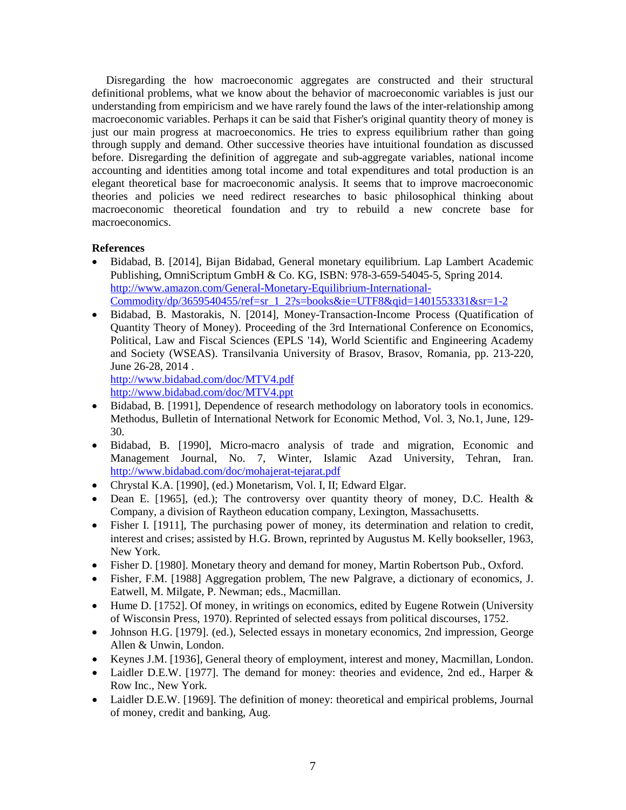Disregarding the how macroeconomic aggregates are constructed and their structural definitional problems, what we know about the behavior of macroeconomic variables is just our understanding from empiricism and we have rarely found the laws of the inter-relationship among macroeconomic variables. Perhaps it can be said that Fisher's original quantity theory of money is just our main progress at macroeconomics. He tries to express equilibrium rather than going through supply and demand. Other successive theories have intuitional foundation as discussed before. Disregarding the definition of aggregate and sub-aggregate variables, national income accounting and identities among total income and total expenditures and total production is an elegant theoretical base for macroeconomic analysis. It seems that to improve macroeconomic theories and policies we need redirect researches to basic philosophical thinking about macroeconomic theoretical foundation and try to rebuild a new concrete base for macroeconomics.

## **References**

- Bidabad, B. [2014], Bijan Bidabad, General monetary equilibrium. Lap Lambert Academic Publishing, OmniScriptum GmbH & Co. KG, ISBN: 978-3-659-54045-5, Spring 2014. [http://www.amazon.com/General-Monetary-Equilibrium-International-](http://www.amazon.com/General-Monetary-Equilibrium-International-Commodity/dp/3659540455/ref=sr_1_2?s=books&ie=UTF8&qid=1401553331&sr=1-2)[Commodity/dp/3659540455/ref=sr\\_1\\_2?s=books&ie=UTF8&qid=1401553331&sr=1-2](http://www.amazon.com/General-Monetary-Equilibrium-International-Commodity/dp/3659540455/ref=sr_1_2?s=books&ie=UTF8&qid=1401553331&sr=1-2)
- Bidabad, B. Mastorakis, N. [2014], Money-Transaction-Income Process (Quatification of Quantity Theory of Money). Proceeding of the 3rd International Conference on Economics, Political, Law and Fiscal Sciences (EPLS '14), World Scientific and Engineering Academy and Society (WSEAS). Transilvania University of Brasov, Brasov, Romania, pp. 213-220, June 26-28, 2014 .

```
http://www.bidabad.com/doc/MTV4.pdf
http://www.bidabad.com/doc/MTV4.ppt
```
- Bidabad, B. [1991], Dependence of research methodology on laboratory tools in economics. Methodus, Bulletin of International Network for Economic Method, Vol. 3, No.1, June, 129- 30.
- Bidabad, B. [1990], Micro-macro analysis of trade and migration, Economic and Management Journal, No. 7, Winter, Islamic Azad University, Tehran, Iran. <http://www.bidabad.com/doc/mohajerat-tejarat.pdf>
- Chrystal K.A. [1990], (ed.) Monetarism, Vol. I, II; Edward Elgar.
- Dean E. [1965], (ed.); The controversy over quantity theory of money, D.C. Health & Company, a division of Raytheon education company, Lexington, Massachusetts.
- Fisher I. [1911], The purchasing power of money, its determination and relation to credit, interest and crises; assisted by H.G. Brown, reprinted by Augustus M. Kelly bookseller, 1963, New York.
- Fisher D. [1980]. Monetary theory and demand for money, Martin Robertson Pub., Oxford.
- Fisher, F.M. [1988] Aggregation problem, The new Palgrave, a dictionary of economics, J. Eatwell, M. Milgate, P. Newman; eds., Macmillan.
- Hume D. [1752]. Of money, in writings on economics, edited by Eugene Rotwein (University of Wisconsin Press, 1970). Reprinted of selected essays from political discourses, 1752.
- Johnson H.G. [1979]. (ed.), Selected essays in monetary economics, 2nd impression, George Allen & Unwin, London.
- Keynes J.M. [1936], General theory of employment, interest and money, Macmillan, London.
- Laidler D.E.W. [1977]. The demand for money: theories and evidence, 2nd ed., Harper & Row Inc., New York.
- Laidler D.E.W. [1969]. The definition of money: theoretical and empirical problems, Journal of money, credit and banking, Aug.